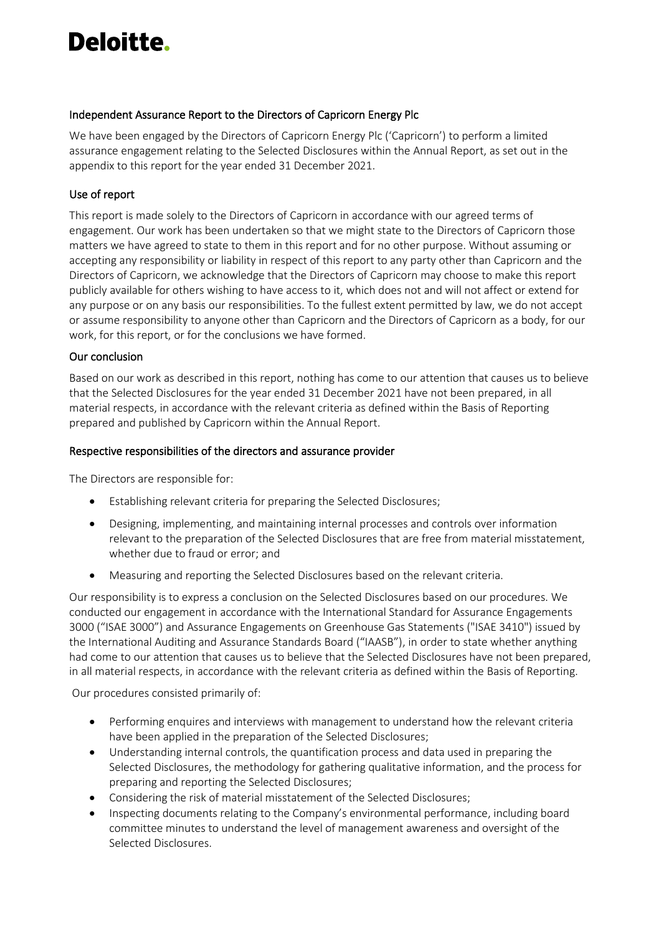# Deloitte.

#### Independent Assurance Report to the Directors of Capricorn Energy Plc

We have been engaged by the Directors of Capricorn Energy Plc ('Capricorn') to perform a limited assurance engagement relating to the Selected Disclosures within the Annual Report, as set out in the appendix to this report for the year ended 31 December 2021.

### Use of report

This report is made solely to the Directors of Capricorn in accordance with our agreed terms of engagement. Our work has been undertaken so that we might state to the Directors of Capricorn those matters we have agreed to state to them in this report and for no other purpose. Without assuming or accepting any responsibility or liability in respect of this report to any party other than Capricorn and the Directors of Capricorn, we acknowledge that the Directors of Capricorn may choose to make this report publicly available for others wishing to have access to it, which does not and will not affect or extend for any purpose or on any basis our responsibilities. To the fullest extent permitted by law, we do not accept or assume responsibility to anyone other than Capricorn and the Directors of Capricorn as a body, for our work, for this report, or for the conclusions we have formed.

#### Our conclusion

Based on our work as described in this report, nothing has come to our attention that causes us to believe that the Selected Disclosures for the year ended 31 December 2021 have not been prepared, in all material respects, in accordance with the relevant criteria as defined within the Basis of Reporting prepared and published by Capricorn within the Annual Report.

#### Respective responsibilities of the directors and assurance provider

The Directors are responsible for:

- Establishing relevant criteria for preparing the Selected Disclosures;
- Designing, implementing, and maintaining internal processes and controls over information relevant to the preparation of the Selected Disclosures that are free from material misstatement, whether due to fraud or error; and
- Measuring and reporting the Selected Disclosures based on the relevant criteria.

Our responsibility is to express a conclusion on the Selected Disclosures based on our procedures. We conducted our engagement in accordance with the International Standard for Assurance Engagements 3000 ("ISAE 3000") and Assurance Engagements on Greenhouse Gas Statements ("ISAE 3410") issued by the International Auditing and Assurance Standards Board ("IAASB"), in order to state whether anything had come to our attention that causes us to believe that the Selected Disclosures have not been prepared, in all material respects, in accordance with the relevant criteria as defined within the Basis of Reporting.

Our procedures consisted primarily of:

- Performing enquires and interviews with management to understand how the relevant criteria have been applied in the preparation of the Selected Disclosures;
- Understanding internal controls, the quantification process and data used in preparing the Selected Disclosures, the methodology for gathering qualitative information, and the process for preparing and reporting the Selected Disclosures;
- Considering the risk of material misstatement of the Selected Disclosures;
- Inspecting documents relating to the Company's environmental performance, including board committee minutes to understand the level of management awareness and oversight of the Selected Disclosures.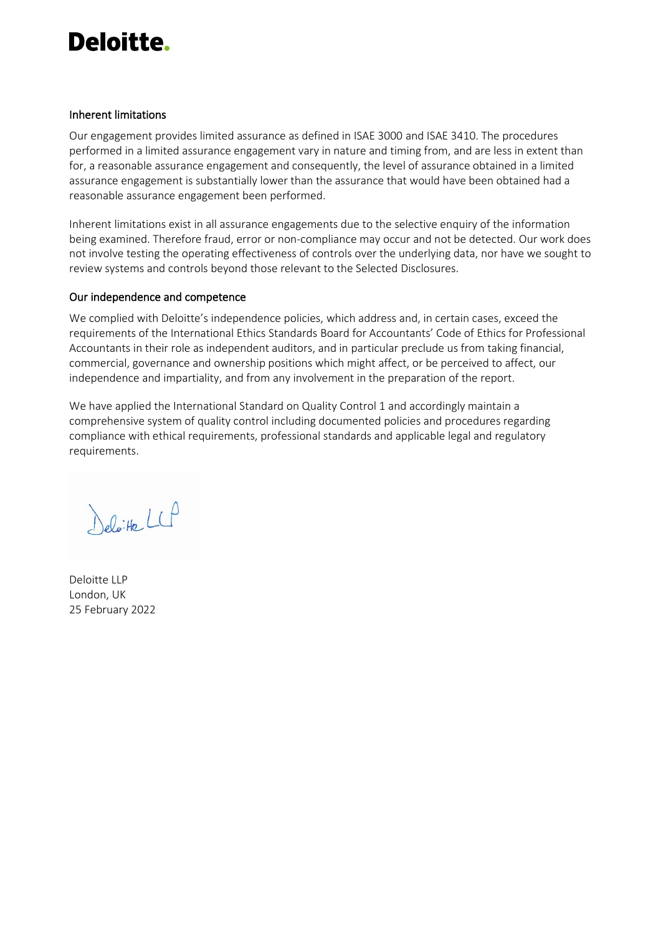## Deloitte.

#### Inherent limitations

Our engagement provides limited assurance as defined in ISAE 3000 and ISAE 3410. The procedures performed in a limited assurance engagement vary in nature and timing from, and are less in extent than for, a reasonable assurance engagement and consequently, the level of assurance obtained in a limited assurance engagement is substantially lower than the assurance that would have been obtained had a reasonable assurance engagement been performed.

Inherent limitations exist in all assurance engagements due to the selective enquiry of the information being examined. Therefore fraud, error or non-compliance may occur and not be detected. Our work does not involve testing the operating effectiveness of controls over the underlying data, nor have we sought to review systems and controls beyond those relevant to the Selected Disclosures.

#### Our independence and competence

We complied with Deloitte's independence policies, which address and, in certain cases, exceed the requirements of the International Ethics Standards Board for Accountants' Code of Ethics for Professional Accountants in their role as independent auditors, and in particular preclude us from taking financial, commercial, governance and ownership positions which might affect, or be perceived to affect, our independence and impartiality, and from any involvement in the preparation of the report.

We have applied the International Standard on Quality Control 1 and accordingly maintain a comprehensive system of quality control including documented policies and procedures regarding compliance with ethical requirements, professional standards and applicable legal and regulatory requirements.

Deloite LLP

Deloitte LLP London, UK 25 February 2022